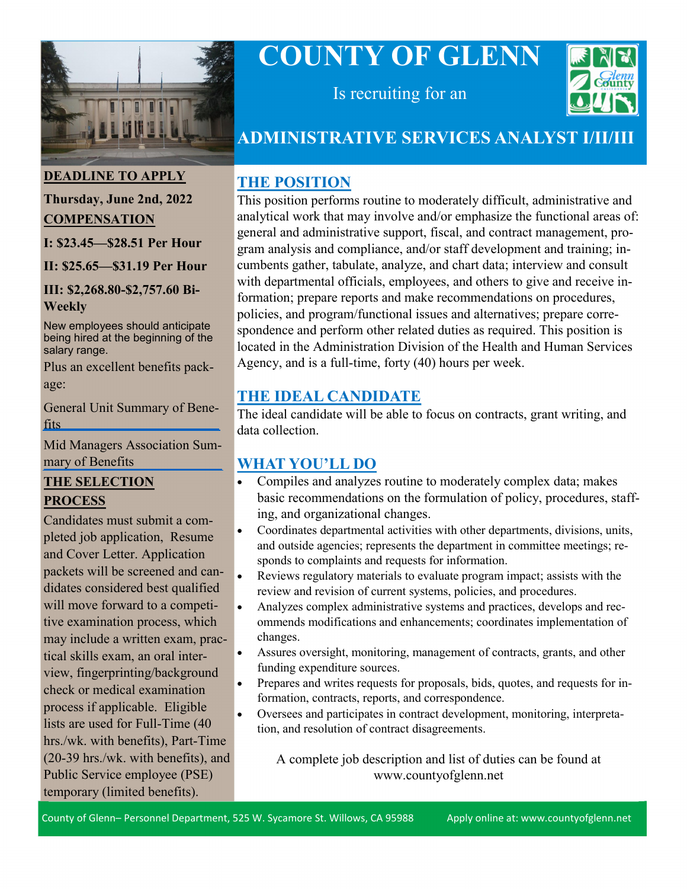

# **COUNTY OF GLENN**



Is recruiting for an

## **ADMINISTRATIVE SERVICES ANALYST I/II/III**

## **THE POSITION**

This position performs routine to moderately difficult, administrative and analytical work that may involve and/or emphasize the functional areas of: general and administrative support, fiscal, and contract management, program analysis and compliance, and/or staff development and training; incumbents gather, tabulate, analyze, and chart data; interview and consult with departmental officials, employees, and others to give and receive information; prepare reports and make recommendations on procedures, policies, and program/functional issues and alternatives; prepare correspondence and perform other related duties as required. This position is located in the Administration Division of the Health and Human Services Agency, and is a full-time, forty (40) hours per week.

## **THE IDEAL CANDIDATE**

The ideal candidate will be able to focus on contracts, grant writing, and data collection.

## **WHAT YOU'LL DO**

- Compiles and analyzes routine to moderately complex data; makes basic recommendations on the formulation of policy, procedures, staffing, and organizational changes.
- Coordinates departmental activities with other departments, divisions, units, and outside agencies; represents the department in committee meetings; responds to complaints and requests for information.
- Reviews regulatory materials to evaluate program impact; assists with the review and revision of current systems, policies, and procedures.
- Analyzes complex administrative systems and practices, develops and recommends modifications and enhancements; coordinates implementation of changes.
- Assures oversight, monitoring, management of contracts, grants, and other funding expenditure sources.
- Prepares and writes requests for proposals, bids, quotes, and requests for information, contracts, reports, and correspondence.
- Oversees and participates in contract development, monitoring, interpretation, and resolution of contract disagreements.

A complete job description and list of duties can be found at www.countyofglenn.net

#### **DEADLINE TO APPLY**

## **Thursday, June 2nd, 2022 COMPENSATION**

**I: \$23.45—\$28.51 Per Hour**

**II: \$25.65—\$31.19 Per Hour**

#### **III: \$2,268.80-\$2,757.60 Bi-Weekly**

New employees should anticipate being hired at the beginning of the salary range.

Plus an excellent benefits package:

[General Unit Summary of Bene](https://www.countyofglenn.net/sites/default/files/Personnel/MOU/GCPERL%2014-GU%20Sum%20of%20Benefits%2020110701_0.pdf)fits

[Mid Managers Association Sum](https://www.countyofglenn.net/sites/default/files/Personnel/MOU/GCPERL%2017-GCMMA%20Sum%20of%20Benefits%2020110701_0.pdf)mary of Benefits

#### **THE SELECTION PROCESS**

Candidates must submit a completed job application, Resume and Cover Letter. Application packets will be screened and candidates considered best qualified will move forward to a competitive examination process, which may include a written exam, practical skills exam, an oral interview, fingerprinting/background check or medical examination process if applicable. Eligible lists are used for Full-Time (40 hrs./wk. with benefits), Part-Time (20-39 hrs./wk. with benefits), and Public Service employee (PSE) temporary (limited benefits).